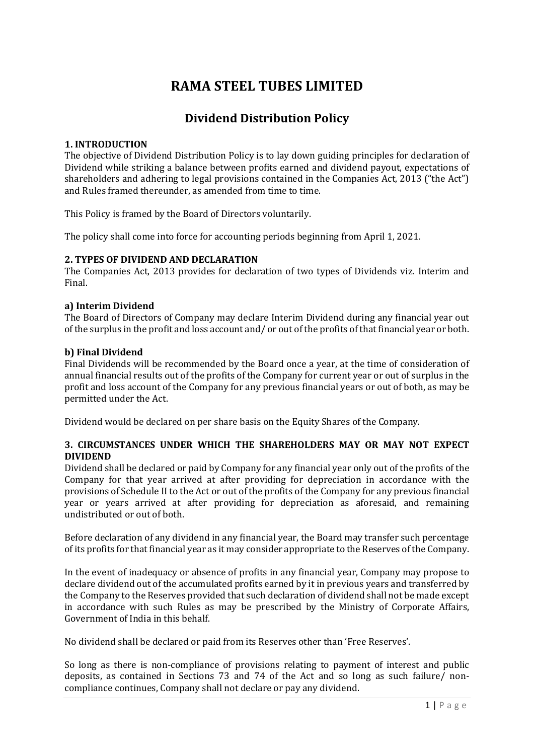# RAMA STEEL TUBES LIMITED

# Dividend Distribution Policy

# 1. INTRODUCTION

The objective of Dividend Distribution Policy is to lay down guiding principles for declaration of Dividend while striking a balance between profits earned and dividend payout, expectations of shareholders and adhering to legal provisions contained in the Companies Act, 2013 ("the Act") and Rules framed thereunder, as amended from time to time.

This Policy is framed by the Board of Directors voluntarily.

The policy shall come into force for accounting periods beginning from April 1, 2021.

#### 2. TYPES OF DIVIDEND AND DECLARATION

The Companies Act, 2013 provides for declaration of two types of Dividends viz. Interim and Final.

#### a) Interim Dividend

The Board of Directors of Company may declare Interim Dividend during any financial year out of the surplus in the profit and loss account and/ or out of the profits of that financial year or both.

#### b) Final Dividend

Final Dividends will be recommended by the Board once a year, at the time of consideration of annual financial results out of the profits of the Company for current year or out of surplus in the profit and loss account of the Company for any previous financial years or out of both, as may be permitted under the Act.

Dividend would be declared on per share basis on the Equity Shares of the Company.

# 3. CIRCUMSTANCES UNDER WHICH THE SHAREHOLDERS MAY OR MAY NOT EXPECT DIVIDEND

Dividend shall be declared or paid by Company for any financial year only out of the profits of the Company for that year arrived at after providing for depreciation in accordance with the provisions of Schedule II to the Act or out of the profits of the Company for any previous financial year or years arrived at after providing for depreciation as aforesaid, and remaining undistributed or out of both.

Before declaration of any dividend in any financial year, the Board may transfer such percentage of its profits for that financial year as it may consider appropriate to the Reserves of the Company.

In the event of inadequacy or absence of profits in any financial year, Company may propose to declare dividend out of the accumulated profits earned by it in previous years and transferred by the Company to the Reserves provided that such declaration of dividend shall not be made except in accordance with such Rules as may be prescribed by the Ministry of Corporate Affairs, Government of India in this behalf.

No dividend shall be declared or paid from its Reserves other than 'Free Reserves'.

So long as there is non-compliance of provisions relating to payment of interest and public deposits, as contained in Sections 73 and 74 of the Act and so long as such failure/ noncompliance continues, Company shall not declare or pay any dividend.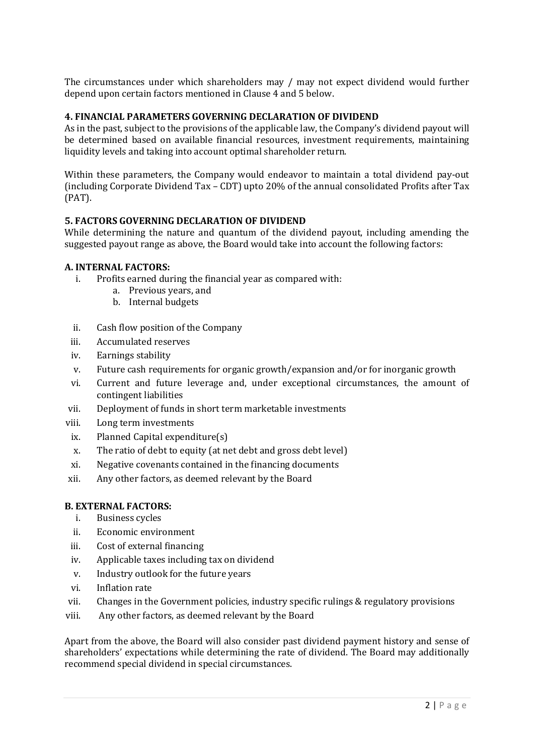The circumstances under which shareholders may / may not expect dividend would further depend upon certain factors mentioned in Clause 4 and 5 below.

#### 4. FINANCIAL PARAMETERS GOVERNING DECLARATION OF DIVIDEND

As in the past, subject to the provisions of the applicable law, the Company's dividend payout will be determined based on available financial resources, investment requirements, maintaining liquidity levels and taking into account optimal shareholder return.

Within these parameters, the Company would endeavor to maintain a total dividend pay-out (including Corporate Dividend Tax – CDT) upto 20% of the annual consolidated Profits after Tax (PAT).

#### 5. FACTORS GOVERNING DECLARATION OF DIVIDEND

While determining the nature and quantum of the dividend payout, including amending the suggested payout range as above, the Board would take into account the following factors:

#### A. INTERNAL FACTORS:

- i. Profits earned during the financial year as compared with:
	- a. Previous years, and
	- b. Internal budgets
- ii. Cash flow position of the Company
- iii. Accumulated reserves
- iv. Earnings stability
- v. Future cash requirements for organic growth/expansion and/or for inorganic growth
- vi. Current and future leverage and, under exceptional circumstances, the amount of contingent liabilities
- vii. Deployment of funds in short term marketable investments
- viii. Long term investments
- ix. Planned Capital expenditure(s)
- x. The ratio of debt to equity (at net debt and gross debt level)
- xi. Negative covenants contained in the financing documents
- xii. Any other factors, as deemed relevant by the Board

#### B. EXTERNAL FACTORS:

- i. Business cycles
- ii. Economic environment
- iii. Cost of external financing
- iv. Applicable taxes including tax on dividend
- v. Industry outlook for the future years
- vi. Inflation rate
- vii. Changes in the Government policies, industry specific rulings & regulatory provisions
- viii. Any other factors, as deemed relevant by the Board

Apart from the above, the Board will also consider past dividend payment history and sense of shareholders' expectations while determining the rate of dividend. The Board may additionally recommend special dividend in special circumstances.